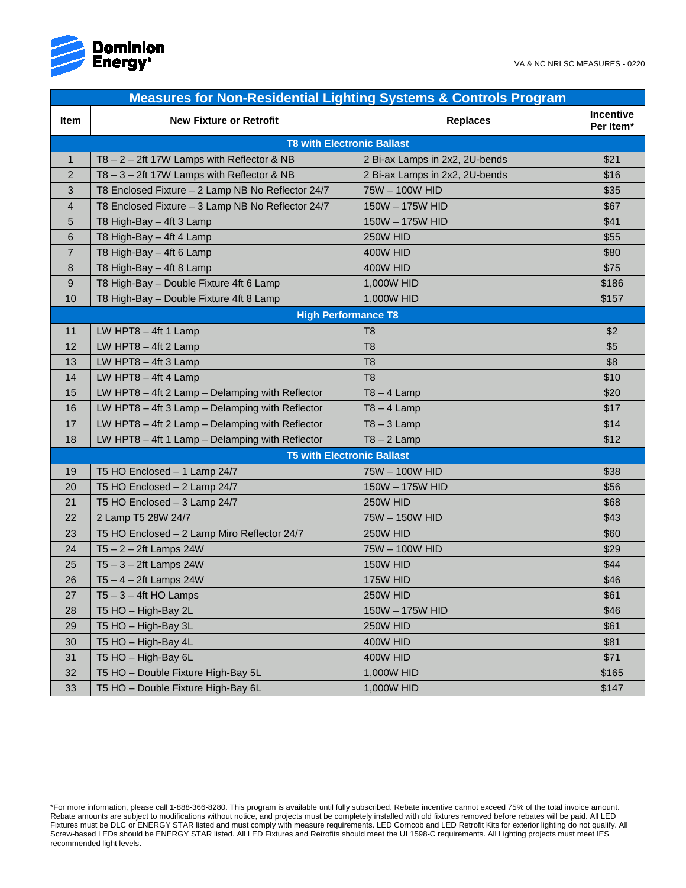

| <b>Measures for Non-Residential Lighting Systems &amp; Controls Program</b> |                                                     |                                |                        |  |  |  |
|-----------------------------------------------------------------------------|-----------------------------------------------------|--------------------------------|------------------------|--|--|--|
| <b>Item</b>                                                                 | <b>New Fixture or Retrofit</b>                      | <b>Replaces</b>                | Incentive<br>Per Item* |  |  |  |
| <b>T8 with Electronic Ballast</b>                                           |                                                     |                                |                        |  |  |  |
| $\mathbf{1}$                                                                | $T8 - 2 - 2$ ft 17W Lamps with Reflector & NB       | 2 Bi-ax Lamps in 2x2, 2U-bends | \$21                   |  |  |  |
| $\overline{2}$                                                              | T8-3-2ft 17W Lamps with Reflector & NB              | 2 Bi-ax Lamps in 2x2, 2U-bends | \$16                   |  |  |  |
| 3                                                                           | T8 Enclosed Fixture - 2 Lamp NB No Reflector 24/7   | 75W - 100W HID                 | \$35                   |  |  |  |
| 4                                                                           | T8 Enclosed Fixture - 3 Lamp NB No Reflector 24/7   | 150W - 175W HID                | \$67                   |  |  |  |
| 5                                                                           | T8 High-Bay - 4ft 3 Lamp                            | 150W - 175W HID                | \$41                   |  |  |  |
| 6                                                                           | T8 High-Bay - 4ft 4 Lamp                            | 250W HID                       | \$55                   |  |  |  |
| $\overline{7}$                                                              | T8 High-Bay - 4ft 6 Lamp                            | <b>400W HID</b>                | \$80                   |  |  |  |
| 8                                                                           | T8 High-Bay - 4ft 8 Lamp                            | <b>400W HID</b>                | \$75                   |  |  |  |
| 9                                                                           | T8 High-Bay - Double Fixture 4ft 6 Lamp             | 1,000W HID                     | \$186                  |  |  |  |
| 10                                                                          | T8 High-Bay - Double Fixture 4ft 8 Lamp             | 1,000W HID                     | \$157                  |  |  |  |
| <b>High Performance T8</b>                                                  |                                                     |                                |                        |  |  |  |
| 11                                                                          | LW HPT8 $-$ 4ft 1 Lamp                              | T <sub>8</sub>                 | \$2                    |  |  |  |
| 12                                                                          | LW HPT8 $-$ 4ft 2 Lamp                              | T <sub>8</sub>                 | \$5                    |  |  |  |
| 13                                                                          | LW HPT8 $-$ 4ft 3 Lamp                              | T <sub>8</sub>                 | \$8                    |  |  |  |
| 14                                                                          | LW HPT8 $-$ 4ft 4 Lamp                              | T <sub>8</sub>                 | \$10                   |  |  |  |
| 15                                                                          | LW HPT8 - 4ft 2 Lamp - Delamping with Reflector     | $T8 - 4$ Lamp                  | \$20                   |  |  |  |
| 16                                                                          | LW HPT8 $-$ 4ft 3 Lamp $-$ Delamping with Reflector | $T8 - 4$ Lamp                  | \$17                   |  |  |  |
| 17                                                                          | LW HPT8 - 4ft 2 Lamp - Delamping with Reflector     | $T8 - 3$ Lamp                  | \$14                   |  |  |  |
| 18                                                                          | LW HPT8 - 4ft 1 Lamp - Delamping with Reflector     | $T8 - 2$ Lamp                  | \$12                   |  |  |  |
| <b>T5 with Electronic Ballast</b>                                           |                                                     |                                |                        |  |  |  |
| 19                                                                          | T5 HO Enclosed - 1 Lamp 24/7                        | 75W - 100W HID                 | \$38                   |  |  |  |
| 20                                                                          | T5 HO Enclosed - 2 Lamp 24/7                        | 150W - 175W HID                | \$56                   |  |  |  |
| 21                                                                          | T5 HO Enclosed - 3 Lamp 24/7                        | 250W HID                       | \$68                   |  |  |  |
| 22                                                                          | 2 Lamp T5 28W 24/7                                  | 75W - 150W HID                 | \$43                   |  |  |  |
| 23                                                                          | T5 HO Enclosed - 2 Lamp Miro Reflector 24/7         | 250W HID                       | \$60                   |  |  |  |
| 24                                                                          | $T5 - 2 - 2ft$ Lamps 24W                            | 75W - 100W HID                 | \$29                   |  |  |  |
| 25                                                                          | $T5 - 3 - 2ft$ Lamps 24W                            | 150W HID                       | \$44                   |  |  |  |
| 26                                                                          | $T5 - 4 - 2ft$ Lamps 24W                            | <b>175W HID</b>                | \$46                   |  |  |  |
| 27                                                                          | $T5 - 3 - 4$ ft HO Lamps                            | 250W HID                       | \$61                   |  |  |  |
| 28                                                                          | T5 HO - High-Bay 2L                                 | 150W - 175W HID                | \$46                   |  |  |  |
| 29                                                                          | T5 HO - High-Bay 3L                                 | 250W HID                       | \$61                   |  |  |  |
| 30                                                                          | T5 HO - High-Bay 4L                                 | <b>400W HID</b>                | \$81                   |  |  |  |
| 31                                                                          | T5 HO - High-Bay 6L                                 | <b>400W HID</b>                | \$71                   |  |  |  |
| 32                                                                          | T5 HO - Double Fixture High-Bay 5L                  | 1,000W HID                     | \$165                  |  |  |  |
| 33                                                                          | T5 HO - Double Fixture High-Bay 6L                  | 1,000W HID                     | \$147                  |  |  |  |

\*For more information, please call 1-888-366-8280. This program is available until fully subscribed. Rebate incentive cannot exceed 75% of the total invoice amount. Rebate amounts are subject to modifications without notice, and projects must be completely installed with old fixtures removed before rebates will be paid. All LED Fixtures must be DLC or ENERGY STAR listed and must comply with measure requirements. LED Corncob and LED Retrofit Kits for exterior lighting do not qualify. All Screw-based LEDs should be ENERGY STAR listed. All LED Fixtures and Retrofits should meet the UL1598-C requirements. All Lighting projects must meet IES recommended light levels.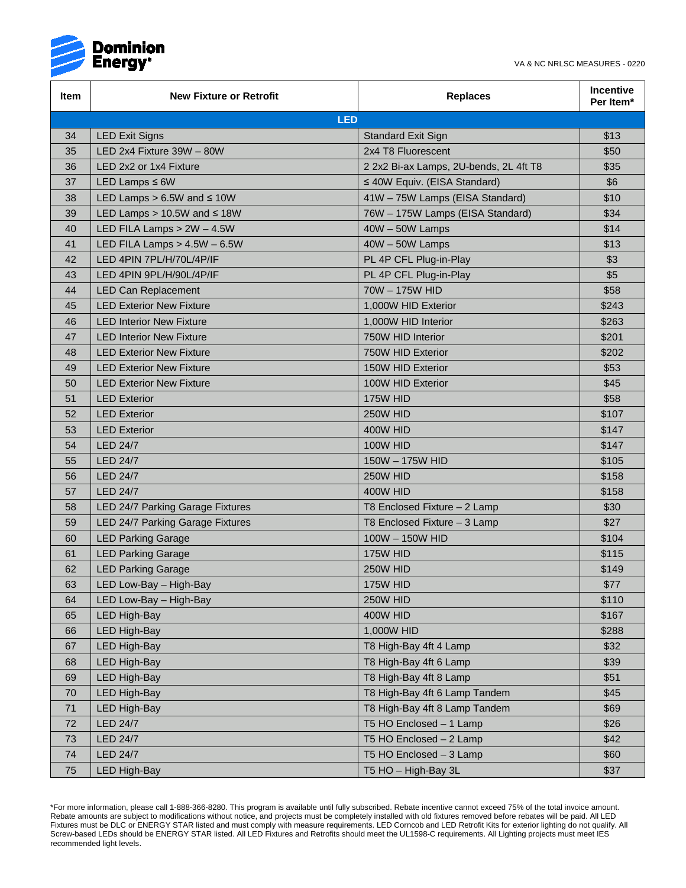

| Item       | <b>New Fixture or Retrofit</b>     | <b>Replaces</b>                        | <b>Incentive</b><br>Per Item* |  |  |  |
|------------|------------------------------------|----------------------------------------|-------------------------------|--|--|--|
| <b>LED</b> |                                    |                                        |                               |  |  |  |
| 34         | <b>LED Exit Signs</b>              | Standard Exit Sign                     | \$13                          |  |  |  |
| 35         | LED 2x4 Fixture 39W - 80W          | 2x4 T8 Fluorescent                     | \$50                          |  |  |  |
| 36         | LED 2x2 or 1x4 Fixture             | 2 2x2 Bi-ax Lamps, 2U-bends, 2L 4ft T8 | \$35                          |  |  |  |
| 37         | LED Lamps $\leq 6W$                | ≤ 40W Equiv. (EISA Standard)           | \$6                           |  |  |  |
| 38         | LED Lamps $> 6.5W$ and $\leq 10W$  | 41W - 75W Lamps (EISA Standard)        | \$10                          |  |  |  |
| 39         | LED Lamps $> 10.5W$ and $\leq 18W$ | 76W - 175W Lamps (EISA Standard)       | \$34                          |  |  |  |
| 40         | LED FILA Lamps $> 2W - 4.5W$       | 40W - 50W Lamps                        | \$14                          |  |  |  |
| 41         | LED FILA Lamps $> 4.5W - 6.5W$     | 40W - 50W Lamps                        | \$13                          |  |  |  |
| 42         | LED 4PIN 7PL/H/70L/4P/IF           | PL 4P CFL Plug-in-Play                 | \$3                           |  |  |  |
| 43         | LED 4PIN 9PL/H/90L/4P/IF           | PL 4P CFL Plug-in-Play                 | \$5                           |  |  |  |
| 44         | <b>LED Can Replacement</b>         | 70W - 175W HID                         | \$58                          |  |  |  |
| 45         | <b>LED Exterior New Fixture</b>    | 1,000W HID Exterior                    | \$243                         |  |  |  |
| 46         | <b>LED Interior New Fixture</b>    | 1,000W HID Interior                    | \$263                         |  |  |  |
| 47         | <b>LED Interior New Fixture</b>    | 750W HID Interior                      | \$201                         |  |  |  |
| 48         | <b>LED Exterior New Fixture</b>    | 750W HID Exterior                      | \$202                         |  |  |  |
| 49         | <b>LED Exterior New Fixture</b>    | 150W HID Exterior                      | \$53                          |  |  |  |
| 50         | <b>LED Exterior New Fixture</b>    | 100W HID Exterior                      | \$45                          |  |  |  |
| 51         | <b>LED Exterior</b>                | 175W HID                               | \$58                          |  |  |  |
| 52         | <b>LED Exterior</b>                | 250W HID                               | \$107                         |  |  |  |
| 53         | <b>LED Exterior</b>                | 400W HID                               | \$147                         |  |  |  |
| 54         | <b>LED 24/7</b>                    | <b>100W HID</b>                        | \$147                         |  |  |  |
| 55         | <b>LED 24/7</b>                    | 150W - 175W HID                        | \$105                         |  |  |  |
| 56         | <b>LED 24/7</b>                    | 250W HID                               | \$158                         |  |  |  |
| 57         | <b>LED 24/7</b>                    | 400W HID                               | \$158                         |  |  |  |
| 58         | LED 24/7 Parking Garage Fixtures   | T8 Enclosed Fixture - 2 Lamp           | \$30                          |  |  |  |
| 59         | LED 24/7 Parking Garage Fixtures   | T8 Enclosed Fixture - 3 Lamp           | \$27                          |  |  |  |
| 60         | <b>LED Parking Garage</b>          | 100W - 150W HID                        | \$104                         |  |  |  |
| 61         | <b>LED Parking Garage</b>          | 175W HID                               | \$115                         |  |  |  |
| 62         | <b>LED Parking Garage</b>          | 250W HID                               | \$149                         |  |  |  |
| 63         | LED Low-Bay – High-Bay             | 175W HID                               | \$77                          |  |  |  |
| 64         | LED Low-Bay - High-Bay             | 250W HID                               | \$110                         |  |  |  |
| 65         | <b>LED High-Bay</b>                | 400W HID                               | \$167                         |  |  |  |
| 66         | <b>LED High-Bay</b>                | 1,000W HID                             | \$288                         |  |  |  |
| 67         | <b>LED High-Bay</b>                | T8 High-Bay 4ft 4 Lamp                 | \$32                          |  |  |  |
| 68         | <b>LED High-Bay</b>                | T8 High-Bay 4ft 6 Lamp                 | \$39                          |  |  |  |
| 69         | <b>LED High-Bay</b>                | T8 High-Bay 4ft 8 Lamp                 | \$51                          |  |  |  |
| 70         | <b>LED High-Bay</b>                | T8 High-Bay 4ft 6 Lamp Tandem          | \$45                          |  |  |  |
| 71         | <b>LED High-Bay</b>                | T8 High-Bay 4ft 8 Lamp Tandem          | \$69                          |  |  |  |
| 72         | <b>LED 24/7</b>                    | T5 HO Enclosed - 1 Lamp                | \$26                          |  |  |  |
| 73         | <b>LED 24/7</b>                    | T5 HO Enclosed - 2 Lamp                | \$42                          |  |  |  |
| 74         | <b>LED 24/7</b>                    | T5 HO Enclosed - 3 Lamp                | \$60                          |  |  |  |
| 75         | <b>LED High-Bay</b>                | T5 HO - High-Bay 3L                    | \$37                          |  |  |  |

<sup>\*</sup>For more information, please call 1-888-366-8280. This program is available until fully subscribed. Rebate incentive cannot exceed 75% of the total invoice amount. Rebate amounts are subject to modifications without notice, and projects must be completely installed with old fixtures removed before rebates will be paid. All LED Fixtures must be DLC or ENERGY STAR listed and must comply with measure requirements. LED Corncob and LED Retrofit Kits for exterior lighting do not qualify. All Screw-based LEDs should be ENERGY STAR listed. All LED Fixtures and Retrofits should meet the UL1598-C requirements. All Lighting projects must meet IES recommended light levels.